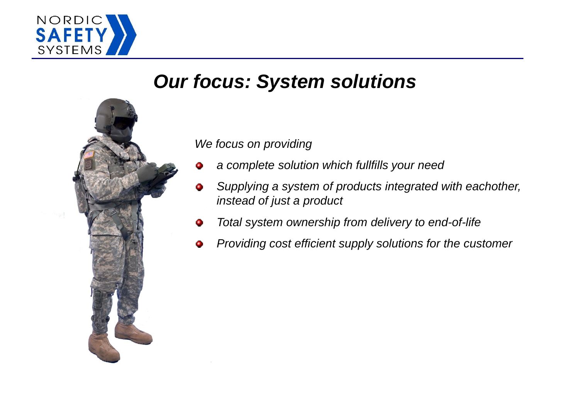

# *Our focus: System solutions*



*We focus on providing*

- *a complete solution which fullfills your need* ٥
- *Supplying a system of products integrated with eachother,*  ۰ *instead of just a product*
- *Total system ownership from delivery to end-of-life* ۰
- *Providing cost efficient supply solutions for the customer*۰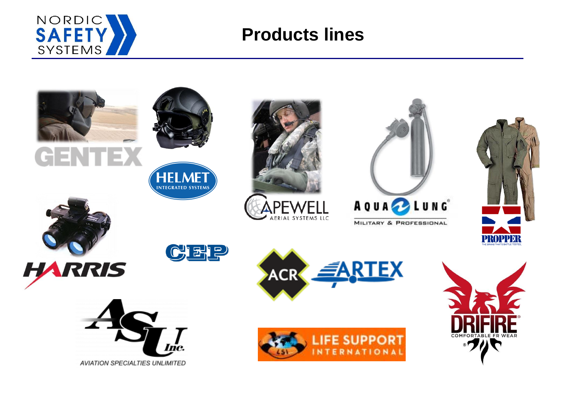

## **Products lines**

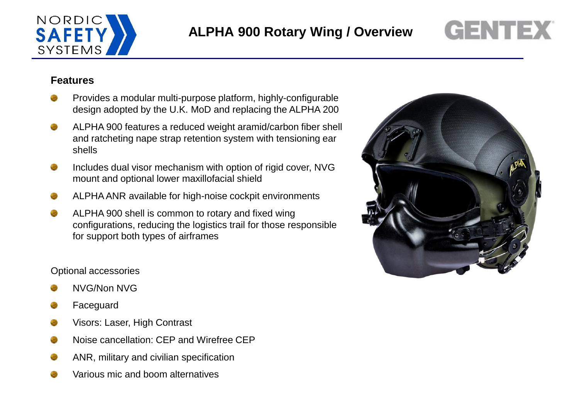

# **GENTEX**

#### **Features**

- Provides a modular multi-purpose platform, highly-configurable design adopted by the U.K. MoD and replacing the ALPHA 200
- ALPHA 900 features a reduced weight aramid/carbon fiber shell and ratcheting nape strap retention system with tensioning ear shells
- Includes dual visor mechanism with option of rigid cover, NVG mount and optional lower maxillofacial shield
- ALPHA ANR available for high-noise cockpit environments
- ALPHA 900 shell is common to rotary and fixed wing configurations, reducing the logistics trail for those responsible for support both types of airframes

#### Optional accessories

- NVG/Non NVG
- Faceguard
- Visors: Laser, High Contrast
- Noise cancellation: CEP and Wirefree CEP
- ANR, military and civilian specification
- Various mic and boom alternatives

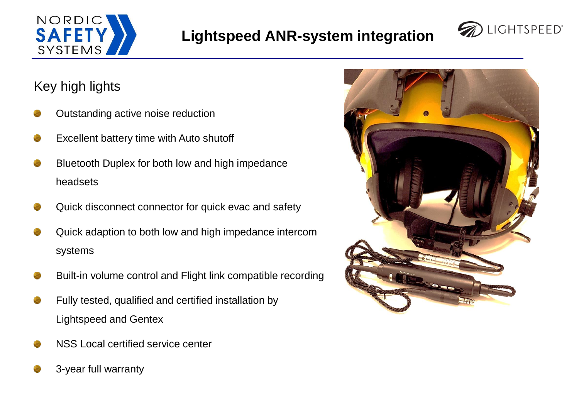



## Key high lights

- Outstanding active noise reduction
- Excellent battery time with Auto shutoff
- Bluetooth Duplex for both low and high impedance headsets
- Quick disconnect connector for quick evac and safety
- Quick adaption to both low and high impedance intercom systems
- Built-in volume control and Flight link compatible recording
- Fully tested, qualified and certified installation by Lightspeed and Gentex
- NSS Local certified service center
- 3-year full warranty